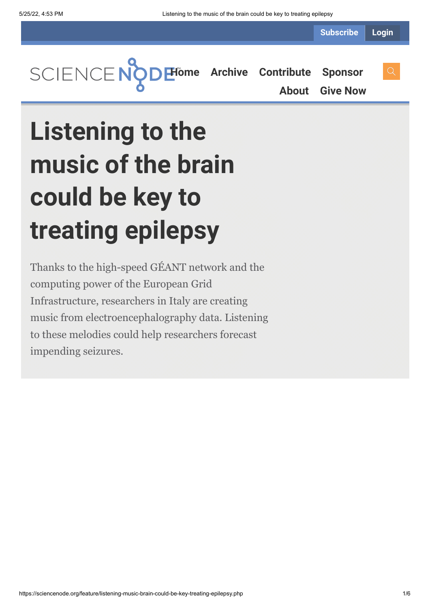**Subscribe Login**

**[Home](https://sciencenode.org/) [Archive](https://sciencenode.org/archive/index.php) [Contribute](https://sciencenode.org/contribute/index.php) [Sponsor](https://sciencenode.org/sponsor/index.php)**

**[About](https://sciencenode.org/about/index.php) [Give Now](https://sciencenode.org/donate/index.php)**

# **Listening to the music of the brain could be key to treating epilepsy**

Thanks to the high-speed GÉANT network and the computing power of the European Grid Infrastructure, researchers in Italy are creating music from electroencephalography data. Listening to these melodies could help researchers forecast impending seizures.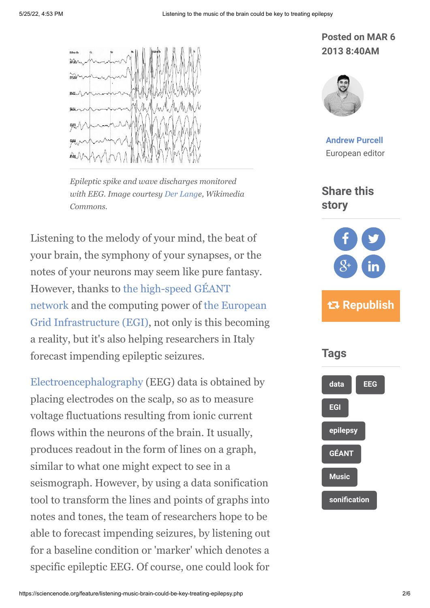

*Epileptic spike and wave discharges monitored with EEG. Image courtesy [Der Lange](http://de.wikipedia.org/wiki/Benutzer:Der_Lange), Wikimedia Commons.*

Listening to the melody of your mind, the beat of your brain, the symphony of your synapses, or the notes of your neurons may seem like pure fantasy. [However, thanks to the high-speed GÉANT](http://www.geant.net/pages/home.aspx) [network and the computing power of the European](http://www.egi.eu/) Grid Infrastructure (EGI), not only is this becoming a reality, but it's also helping researchers in Italy forecast impending epileptic seizures.

[Electroencephalography](http://www.scholarpedia.org/article/Electroencephalogram) (EEG) data is obtained by placing electrodes on the scalp, so as to measure voltage fluctuations resulting from ionic current flows within the neurons of the brain. It usually, produces readout in the form of lines on a graph, similar to what one might expect to see in a seismograph. However, by using a data sonification tool to transform the lines and points of graphs into notes and tones, the team of researchers hope to be able to forecast impending seizures, by listening out for a baseline condition or 'marker' which denotes a specific epileptic EEG. Of course, one could look for

# **Posted on MAR 6 2013 8:40AM**



**[Andrew Purcell](https://sciencenode.org/author/andrew-purcell.php)** European editor

## **Share this story**



# **Republish**

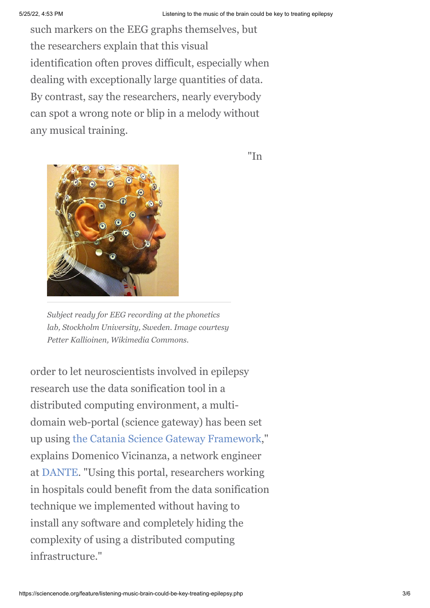such markers on the EEG graphs themselves, but the researchers explain that this visual identification often proves difficult, especially when dealing with exceptionally large quantities of data. By contrast, say the researchers, nearly everybody can spot a wrong note or blip in a melody without any musical training.



"In

*Subject ready for EEG recording at the phonetics lab, Stockholm University, Sweden. Image courtesy Petter Kallioinen, Wikimedia Commons.*

order to let neuroscientists involved in epilepsy research use the data sonification tool in a distributed computing environment, a multidomain web-portal (science gateway) has been set up using [the Catania Science Gateway Framework,](http://www.facebook.com/pages/Catania-Science-Gateways/220075701389624)" explains Domenico Vicinanza, a network engineer at [DANTE](http://www.dante.net/). "Using this portal, researchers working in hospitals could benefit from the data sonification technique we implemented without having to install any software and completely hiding the complexity of using a distributed computing infrastructure."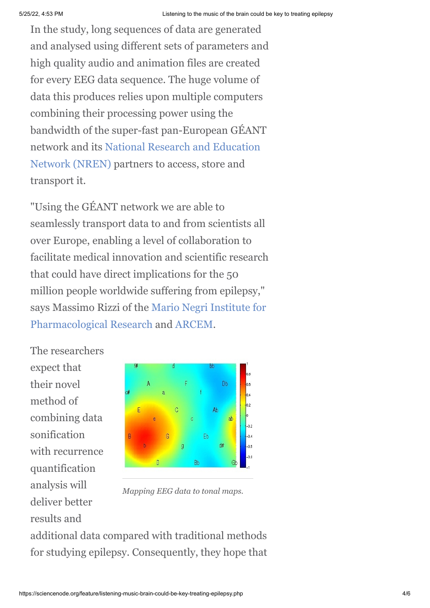In the study, long sequences of data are generated and analysed using different sets of parameters and high quality audio and animation files are created for every EEG data sequence. The huge volume of data this produces relies upon multiple computers combining their processing power using the bandwidth of the super-fast pan-European GÉANT [network and its National Research and Education](http://en.wikipedia.org/wiki/National_research_and_education_network) Network (NREN) partners to access, store and transport it.

"Using the GÉANT network we are able to seamlessly transport data to and from scientists all over Europe, enabling a level of collaboration to facilitate medical innovation and scientific research that could have direct implications for the 50 million people worldwide suffering from epilepsy," [says Massimo Rizzi of the Mario Negri Institute for](http://www.marionegri.it/mn/en/) Pharmacological Research and [ARCEM.](http://www.arcem.it/)

The researchers expect that their novel method of combining data sonification with recurrence quantification analysis will deliver better results and



*Mapping EEG data to tonal maps.*

additional data compared with traditional methods for studying epilepsy. Consequently, they hope that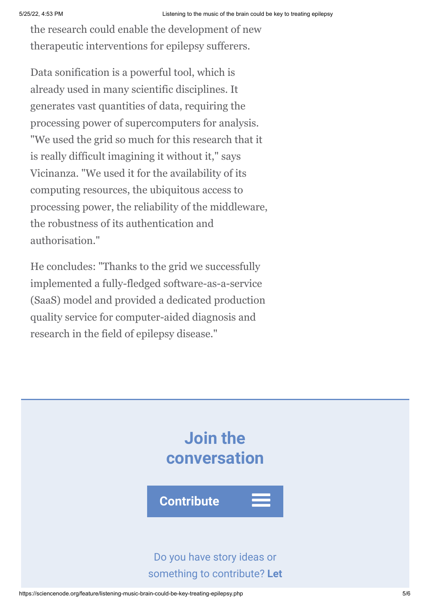the research could enable the development of new therapeutic interventions for epilepsy sufferers.

Data sonification is a powerful tool, which is already used in many scientific disciplines. It generates vast quantities of data, requiring the processing power of supercomputers for analysis. "We used the grid so much for this research that it is really difficult imagining it without it," says Vicinanza. "We used it for the availability of its computing resources, the ubiquitous access to processing power, the reliability of the middleware, the robustness of its authentication and authorisation."

He concludes: "Thanks to the grid we successfully implemented a fully-fledged software-as-a-service (SaaS) model and provided a dedicated production quality service for computer-aided diagnosis and research in the field of epilepsy disease."